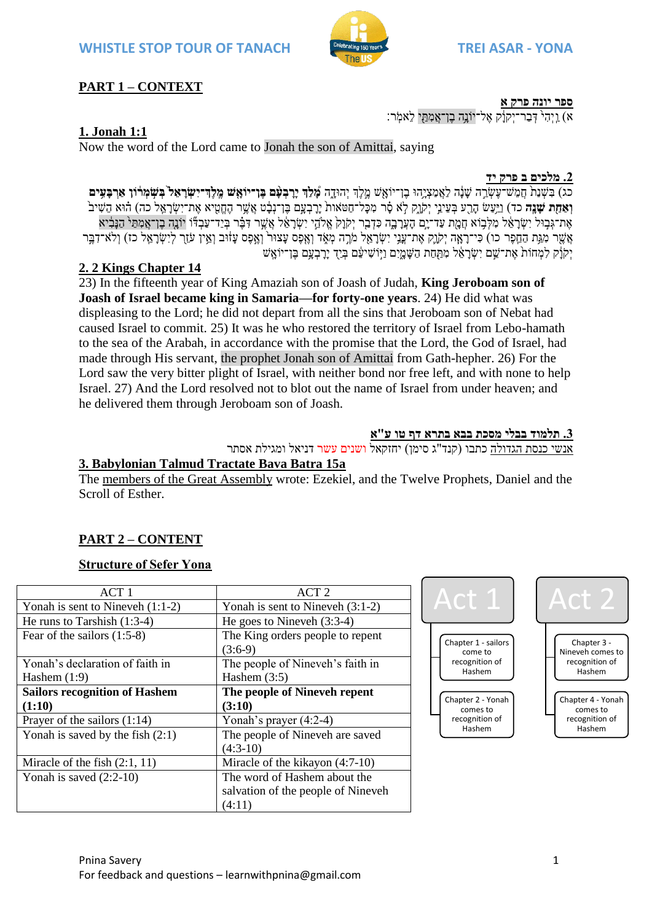

א) ו יהי<sup>י</sup> דבר־יקוֹק אל־יוֹנה בו־אמתּי לֹאמֹר:

# **PART 1 – CONTEXT**

# **1. Jonah 1:1**

Now the word of the Lord came to Jonah the son of Amittai, saying

#### **.2 מלכים ב פרק יד**

**ספר יונה פרק א**

כג) בִשְׁנַת חֲמֵש־עֲשֶׂרֶה שִׁנָּה לַאֲמַצִיְהוּ בֶן־יוֹאִש מֵלֶךְ יְהוּדָה מִצְ<del>ּךָ</del> יִרְבָעִ֫ם בֶּן־יוֹ**אִשׁ מֵלְדְ־יִשְׂרָאֵל בְּשִׂמְרֹוֹן אַרְבַעִּים וְאַחַת שַׁנֵּה** כד) וַיְּעַשׂ הָרָע בְּעֵינֵי יִקֹוַק לְא סָ֫ר מְכַּל־חֲטֹאות יַרַבְעֲם בֵּן־נִבָּ֫ט אֲשֵׁר הֶחֱטִיא אֶת־יִשְׂרָאֱל כה) הוּא הֵשִׁיב ָאֶת־גָּבְוּל יְשָׂראֶל מִלְבָוֹא חֲמַת עַד־יִם העֲרבה כִּדְבֵר יִקוֹק אֱלֹהֱי יִשְׂראֶ֫ל אֲשֶׁר דָּבֶּ֫ר בְּיַד־עָבְדֶּٔו יוֹנָה בֶן־אֲמִתַּי הַנִּבְ֫יא ָאֲשֶׁר מְגֵּת הַחֲפֶר כו) כִּי־רַאֲה יִקֹוֵק אֶת־עֲנֶי יִשְׂרַאֱל מֹרֱה מְאֶד וְאֶפֶס עֲוֹיוּב וְאֵין עֹזֶךְ לִיִשְׂרָאֱל כז) וְלֹא־דָבֵּר יִקוֹֹק לִמְחֹות אֵת־שֵׁם יִשְׂרָאֵל מִתַּחַת הַשָּׁמֲיִם וַיִּוֹשִׁיעֵּׁם בְּיַד יָרָבְעָם בֶּן־יוֹאֲשׁ

### **2. 2 Kings Chapter 14**

23) In the fifteenth year of King Amaziah son of Joash of Judah, **King Jeroboam son of Joash of Israel became king in Samaria—for forty-one years**. 24) He did what was displeasing to the Lord; he did not depart from all the sins that Jeroboam son of Nebat had caused Israel to commit. 25) It was he who restored the territory of Israel from Lebo-hamath to the sea of the Arabah, in accordance with the promise that the Lord, the God of Israel, had made through His servant, the prophet Jonah son of Amittai from Gath-hepher. 26) For the Lord saw the very bitter plight of Israel, with neither bond nor free left, and with none to help Israel. 27) And the Lord resolved not to blot out the name of Israel from under heaven; and he delivered them through Jeroboam son of Joash.

#### **.3 תלמוד בבלי מסכת בבא בתרא דף טו ע"א**

אנשי כנסת הגדולה כתבו (קנד"ג סימן) יחזקאל <mark>ושנים עשר ד</mark>ניאל ומגילת אסתר

# **3. Babylonian Talmud Tractate Bava Batra 15a**

The members of the Great Assembly wrote: Ezekiel, and the Twelve Prophets, Daniel and the Scroll of Esther.

# **PART 2 – CONTENT**

# **Structure of Sefer Yona**

| ACT <sub>1</sub>                     | ACT <sub>2</sub>                   |
|--------------------------------------|------------------------------------|
| Yonah is sent to Nineveh $(1:1-2)$   | Yonah is sent to Nineveh $(3:1-2)$ |
| He runs to Tarshish $(1:3-4)$        | He goes to Nineveh $(3:3-4)$       |
| Fear of the sailors $(1:5-8)$        | The King orders people to repent   |
|                                      | $(3:6-9)$                          |
| Yonah's declaration of faith in      | The people of Nineveh's faith in   |
| Hashem $(1:9)$                       | Hashem $(3:5)$                     |
| <b>Sailors recognition of Hashem</b> | The people of Nineveh repent       |
| (1:10)                               | (3:10)                             |
| Prayer of the sailors $(1:14)$       | Yonah's prayer $(4:2-4)$           |
| Yonah is saved by the fish $(2:1)$   | The people of Nineveh are saved    |
|                                      | $(4:3-10)$                         |
| Miracle of the fish $(2:1, 11)$      | Miracle of the kikayon (4:7-10)    |
| Yonah is saved $(2:2-10)$            | The word of Hashem about the       |
|                                      | salvation of the people of Nineveh |
|                                      | (4:11)                             |









Hashem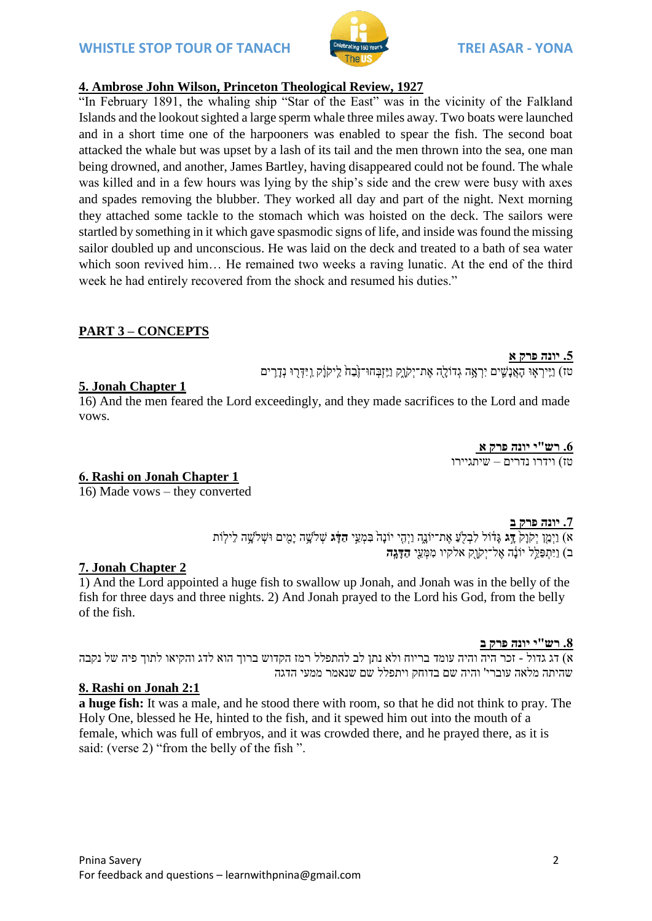

# **4. Ambrose John Wilson, Princeton Theological Review, 1927**

"In February 1891, the whaling ship "Star of the East" was in the vicinity of the Falkland Islands and the lookout sighted a large sperm whale three miles away. Two boats were launched and in a short time one of the harpooners was enabled to spear the fish. The second boat attacked the whale but was upset by a lash of its tail and the men thrown into the sea, one man being drowned, and another, James Bartley, having disappeared could not be found. The whale was killed and in a few hours was lying by the ship's side and the crew were busy with axes and spades removing the blubber. They worked all day and part of the night. Next morning they attached some tackle to the stomach which was hoisted on the deck. The sailors were startled by something in it which gave spasmodic signs of life, and inside was found the missing sailor doubled up and unconscious. He was laid on the deck and treated to a bath of sea water which soon revived him... He remained two weeks a raving lunatic. At the end of the third week he had entirely recovered from the shock and resumed his duties."

# **PART 3 – CONCEPTS**

#### **.5 יונה פרק א**

טז) וַיִּירְאָוּ הָאֲנַשֵׁים יִרְאָה גְדוֹלַה אֶת־יִקוֹק וַיֵּזְבְחוּ־זֶבָה לֵיקוֹֹק וַיִּדְרוּ נְדַרִים

### **5. Jonah Chapter 1**

16) And the men feared the Lord exceedingly, and they made sacrifices to the Lord and made vows.

> **.6 רש"י יונה פרק א** טז) וידרו נדרים – שיתגיירו

#### **6. Rashi on Jonah Chapter 1**

16) Made vows – they converted

#### **.7 יונה פרק ב**

א<u>ָ</u>) וַיְמֵן יְקוָק דָּג גָּדְוֹל לִבְלֻעַ אֶת־יוֹנֵה וַיְהָי יוֹנָה בִּמְעֵי הַדָּּב שְׁלֹשֳה יָמֵים וּשְׁלֹשֶה לֵילוֹת ב) וַיִּתְפַּלֵ<sup>ּ</sup>ל יוֹנָ**ה אֲל־יִקוַק אלקיו מִמַּעֵי <b>הַדִּגה** 

#### **7. Jonah Chapter 2**

1) And the Lord appointed a huge fish to swallow up Jonah, and Jonah was in the belly of the fish for three days and three nights. 2) And Jonah prayed to the Lord his God, from the belly of the fish.

#### **.8 רש"י יונה פרק ב**

א( דג גדול - זכר היה והיה עומד בריוח ולא נתן לב להתפלל רמז הקדוש ברוך הוא לדג והקיאו לתוך פיה של נקבה שהיתה מלאה עוברי' והיה שם בדוחק ויתפלל שם שנאמר ממעי הדגה

#### **8. Rashi on Jonah 2:1**

**a huge fish:** It was a male, and he stood there with room, so that he did not think to pray. The Holy One, blessed he He, hinted to the fish, and it spewed him out into the mouth of a female, which was full of embryos, and it was crowded there, and he prayed there, as it is said: (verse 2) "from the belly of the fish ".